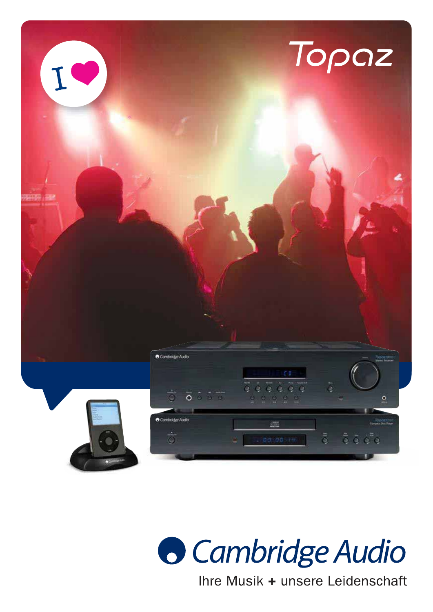



Ihre Musik + unsere Leidenschaft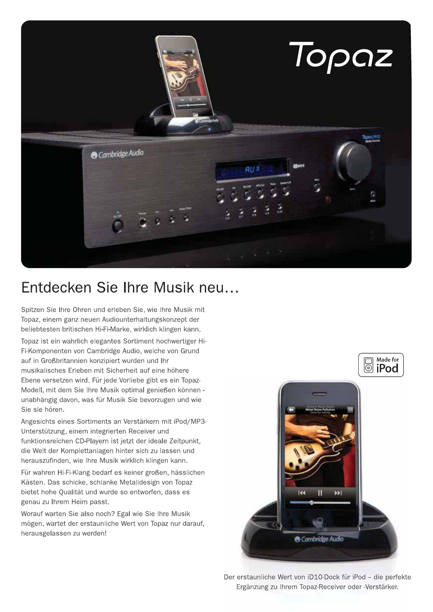

## Entdecken Sie Ihre Musik neu...

Spitzen Sie Ihre Ohren und erleben Sie, wie Ihre Musik mit Topaz, einem ganz neuen Audiounterhaltungskonzept der beliebtesten britischen Hi-Fi-Marke, wirklich klingen kann.

Topaz ist ein wahrlich elegantes Sortiment hochwertiger Hi-Fi-Komponenten von Cambridge Audio, welche von Grund auf in Großbritannien konzipiert wurden und Ihr musikalisches Erleben mit Sicherheit auf eine höhere Ebene versetzen wird. Für jede Vorliebe gibt es ein Topaz-Modell, mit dem Sie Ihre Musik optimal genießen können unabhängig davon, was für Musik Sie bevorzugen und wie Sie sie hören.

Angesichts eines Sortiments an Verstärkern mit iPod/MP3-Unterstützung, einem integrierten Receiver und funktionsreichen CD-Playern ist jetzt der ideale Zeitpunkt, die Welt der Komplettanlagen hinter sich zu lassen und herauszufinden, wie Ihre Musik wirklich klingen kann.

Für wahren Hi-Fi-Klang bedarf es keiner großen, hässlichen Kästen. Das schicke, schlanke Metalldesign von Topaz bietet hohe Qualität und wurde so entworfen, dass es genau zu Ihrem Heim passt.

Worauf warten Sie also noch? Egal wie Sie Ihre Musik mögen, wartet der erstaunliche Wert von Topaz nur darauf, herausgelassen zu werden!



Der erstaunliche Wert von iD10-Dock für iPod - die perfekte Ergänzung zu Ihrem Topaz-Receiver oder -Verstärker.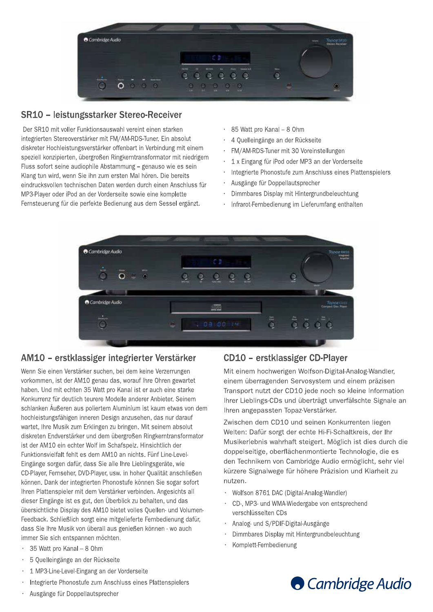

### SR10 - leistungsstarker Stereo-Receiver

Der SR10 mit voller Funktionsauswahl vereint einen starken integrierten Stereoverstärker mit FM/AM-RDS-Tuner. Ein absolut diskreter Hochleistungsverstärker offenbart in Verbindung mit einem speziell konzipierten, übergroßen Ringkerntransformator mit niedrigem Fluss sofort seine audiophile Abstammung - genauso wie es sein Klang tun wird, wenn Sie ihn zum ersten Mal hören. Die bereits eindrucksvollen technischen Daten werden durch einen Anschluss für MP3-Player oder iPod an der Vorderseite sowie eine komplette Fernsteuerung für die perfekte Bedienung aus dem Sessel ergänzt.

- · 85 Watt pro Kanal 8 Ohm
- 4 Quelleingänge an der Rückseite
- FM/AM-RDS-Tuner mit 30 Voreinstellungen
- 1 x Eingang für iPod oder MP3 an der Vorderseite  $\bullet$
- Integrierte Phonostufe zum Anschluss eines Plattenspielers  $\bullet$
- Ausgänge für Doppellautsprecher  $\ddot{\phantom{0}}$
- $\ddot{\phantom{0}}$ Dimmbares Display mit Hintergrundbeleuchtung
- Infrarot-Fernbedienung im Lieferumfang enthalten



#### AM10 - erstklassiger integrierter Verstärker

Wenn Sie einen Verstärker suchen, bei dem keine Verzerrungen vorkommen, ist der AM10 genau das, worauf Ihre Ohren gewartet haben. Und mit echten 35 Watt pro Kanal ist er auch eine starke Konkurrenz für deutlich teurere Modelle anderer Anbieter. Seinem schlanken Äußeren aus poliertem Aluminium ist kaum etwas von dem hochleistungsfähigen inneren Design anzusehen, das nur darauf wartet, Ihre Musik zum Erklingen zu bringen. Mit seinem absolut diskreten Endverstärker und dem übergroßen Ringkerntransformator ist der AM10 ein echter Wolf im Schafspelz. Hinsichtlich der Funktionsvielfalt fehlt es dem AM10 an nichts. Fünf Line-Level-Eingänge sorgen dafür, dass Sie alle Ihre Lieblingsgeräte, wie CD-Player, Fernseher, DVD-Player, usw. in hoher Qualität anschließen können. Dank der integrierten Phonostufe können Sie sogar sofort Ihren Plattenspieler mit dem Verstärker verbinden. Angesichts all dieser Eingänge ist es gut, den Überblick zu behalten, und das übersichtliche Display des AM10 bietet volles Quellen- und Volumen-Feedback. Schließlich sorgt eine mitgelieferte Fernbedienung dafür, dass Sie Ihre Musik von überall aus genießen können - wo auch immer Sie sich entspannen möchten.

- 35 Watt pro Kanal 8 Ohm k.
- 5 Quelleingänge an der Rückseite  $\bullet$
- 1 MP3-Line-Level-Eingang an der Vorderseite
- Integrierte Phonostufe zum Anschluss eines Plattenspielers
- Ausgänge für Doppellautsprecher

#### CD10 - erstklassiger CD-Player

Mit einem hochwerigen Wolfson-Digital-Analog-Wandler. einem überragenden Servosystem und einem präzisen Transport nutzt der CD10 jede noch so kleine Information Ihrer Lieblings-CDs und überträgt unverfälschte Signale an Ihren angepassten Topaz-Verstärker.

Zwischen dem CD10 und seinen Konkurrenten liegen Welten: Dafür sorgt der echte Hi-Fi-Schaltkreis, der Ihr Musikerlebnis wahrhaft steigert. Möglich ist dies durch die doppelseitige, oberflächenmontierte Technologie, die es den Technikern von Cambridge Audio ermöglicht, sehr viel kürzere Signalwege für höhere Präzision und Klarheit zu nutzen.

- Wolfson 8761 DAC (Digital-Analog-Wandler)
- CD-, MP3- und WMA-Wiedergabe von entsprechend verschlüsselten CDs
- Analog- und S/PDIF-Digital-Ausgänge
- Dimmbares Display mit Hintergrundbeleuchtung
- Komplett-Fernbedienung